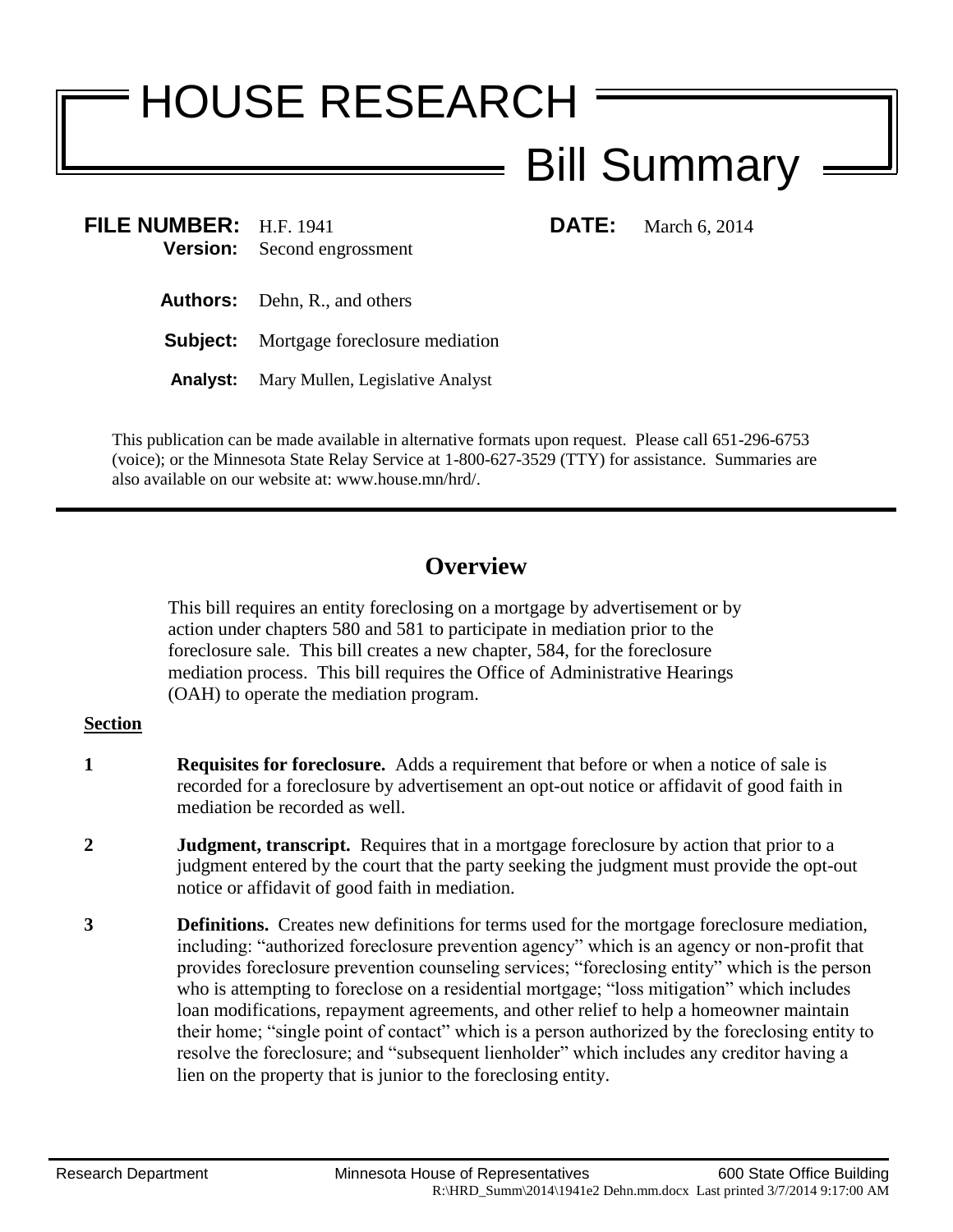# HOUSE RESEARCH

## Bill Summary

**FILE NUMBER:** H.F. 1941 **DATE:** March 6, 2014 **Version:** Second engrossment

- **Authors:** Dehn, R., and others
- **Subject:** Mortgage foreclosure mediation
- **Analyst:** Mary Mullen, Legislative Analyst

This publication can be made available in alternative formats upon request. Please call 651-296-6753 (voice); or the Minnesota State Relay Service at 1-800-627-3529 (TTY) for assistance. Summaries are also available on our website at: www.house.mn/hrd/.

### **Overview**

This bill requires an entity foreclosing on a mortgage by advertisement or by action under chapters 580 and 581 to participate in mediation prior to the foreclosure sale. This bill creates a new chapter, 584, for the foreclosure mediation process. This bill requires the Office of Administrative Hearings (OAH) to operate the mediation program.

#### **Section**

- **1 Requisites for foreclosure.** Adds a requirement that before or when a notice of sale is recorded for a foreclosure by advertisement an opt-out notice or affidavit of good faith in mediation be recorded as well.
- **2 Judgment, transcript.** Requires that in a mortgage foreclosure by action that prior to a judgment entered by the court that the party seeking the judgment must provide the opt-out notice or affidavit of good faith in mediation.
- **3 Definitions.** Creates new definitions for terms used for the mortgage foreclosure mediation, including: "authorized foreclosure prevention agency" which is an agency or non-profit that provides foreclosure prevention counseling services; "foreclosing entity" which is the person who is attempting to foreclose on a residential mortgage; "loss mitigation" which includes loan modifications, repayment agreements, and other relief to help a homeowner maintain their home; "single point of contact" which is a person authorized by the foreclosing entity to resolve the foreclosure; and "subsequent lienholder" which includes any creditor having a lien on the property that is junior to the foreclosing entity.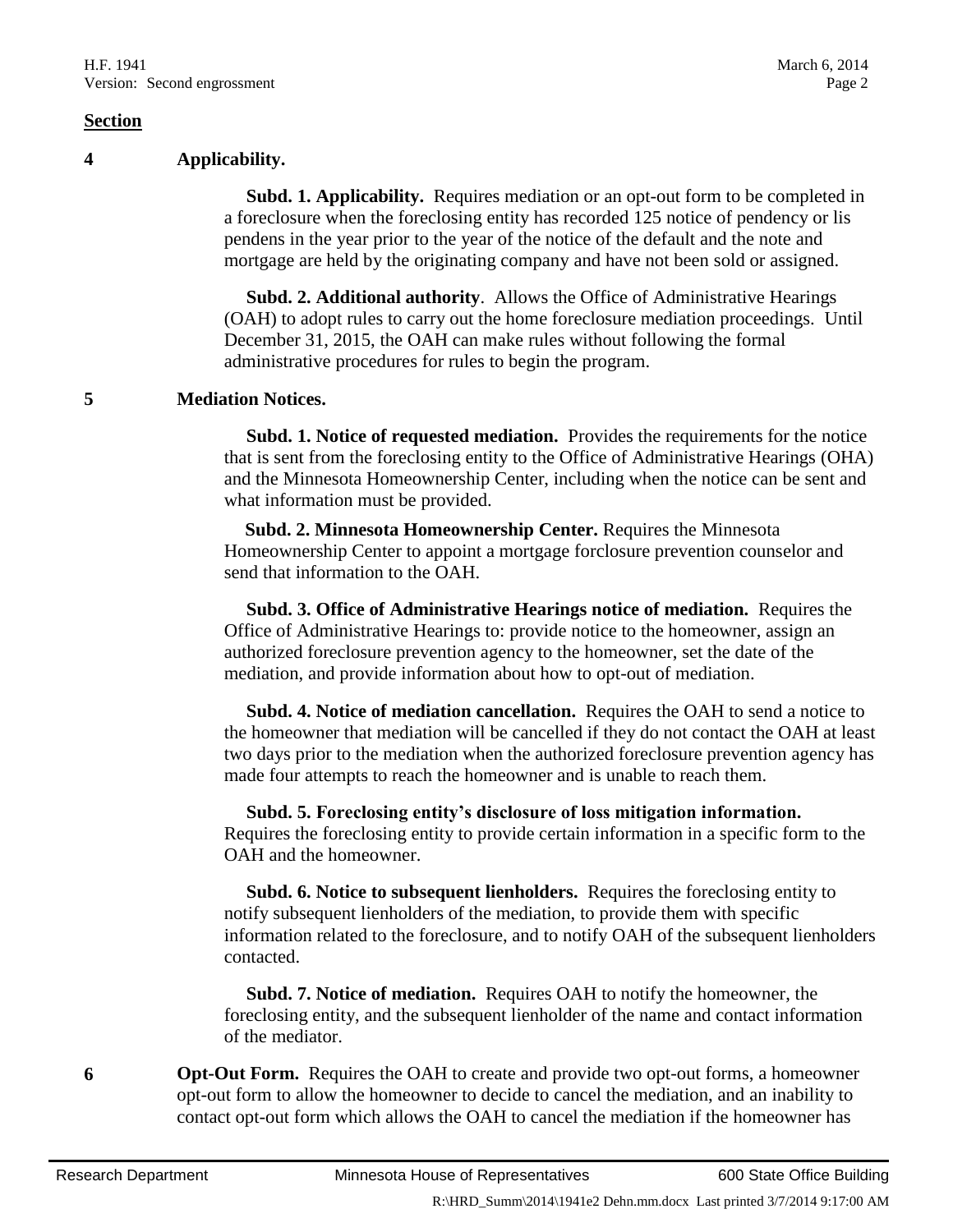#### **Section**

#### **4 Applicability.**

 **Subd. 1. Applicability.** Requires mediation or an opt-out form to be completed in a foreclosure when the foreclosing entity has recorded 125 notice of pendency or lis pendens in the year prior to the year of the notice of the default and the note and mortgage are held by the originating company and have not been sold or assigned.

 **Subd. 2. Additional authority**. Allows the Office of Administrative Hearings (OAH) to adopt rules to carry out the home foreclosure mediation proceedings. Until December 31, 2015, the OAH can make rules without following the formal administrative procedures for rules to begin the program.

#### **5 Mediation Notices.**

 **Subd. 1. Notice of requested mediation.** Provides the requirements for the notice that is sent from the foreclosing entity to the Office of Administrative Hearings (OHA) and the Minnesota Homeownership Center, including when the notice can be sent and what information must be provided.

**Subd. 2. Minnesota Homeownership Center.** Requires the Minnesota Homeownership Center to appoint a mortgage forclosure prevention counselor and send that information to the OAH.

 **Subd. 3. Office of Administrative Hearings notice of mediation.** Requires the Office of Administrative Hearings to: provide notice to the homeowner, assign an authorized foreclosure prevention agency to the homeowner, set the date of the mediation, and provide information about how to opt-out of mediation.

 **Subd. 4. Notice of mediation cancellation.** Requires the OAH to send a notice to the homeowner that mediation will be cancelled if they do not contact the OAH at least two days prior to the mediation when the authorized foreclosure prevention agency has made four attempts to reach the homeowner and is unable to reach them.

 **Subd. 5. Foreclosing entity's disclosure of loss mitigation information.** Requires the foreclosing entity to provide certain information in a specific form to the OAH and the homeowner.

 **Subd. 6. Notice to subsequent lienholders.** Requires the foreclosing entity to notify subsequent lienholders of the mediation, to provide them with specific information related to the foreclosure, and to notify OAH of the subsequent lienholders contacted.

 **Subd. 7. Notice of mediation.** Requires OAH to notify the homeowner, the foreclosing entity, and the subsequent lienholder of the name and contact information of the mediator.

**6 Opt-Out Form.** Requires the OAH to create and provide two opt-out forms, a homeowner opt-out form to allow the homeowner to decide to cancel the mediation, and an inability to contact opt-out form which allows the OAH to cancel the mediation if the homeowner has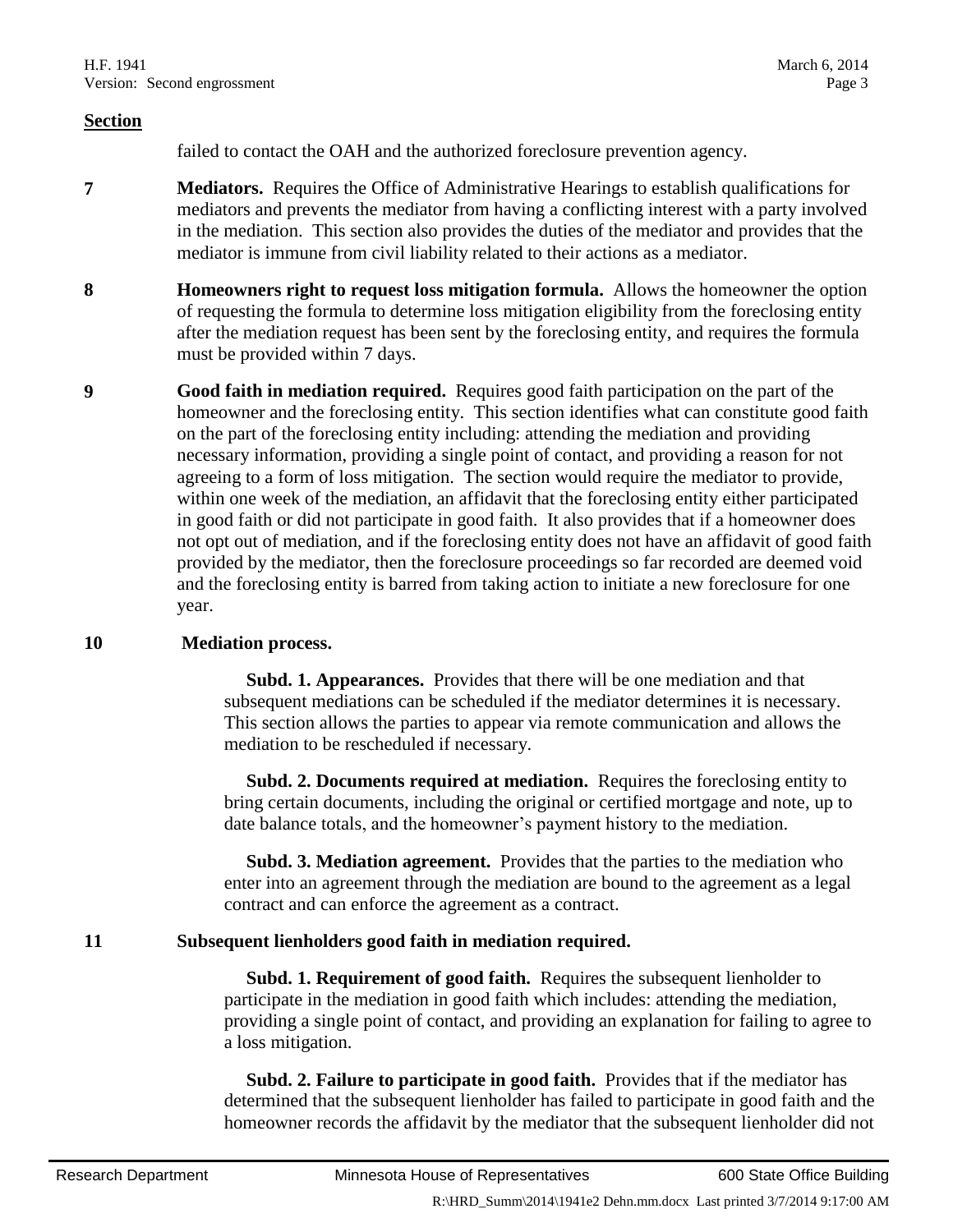#### **Section**

failed to contact the OAH and the authorized foreclosure prevention agency.

- **7 Mediators.** Requires the Office of Administrative Hearings to establish qualifications for mediators and prevents the mediator from having a conflicting interest with a party involved in the mediation. This section also provides the duties of the mediator and provides that the mediator is immune from civil liability related to their actions as a mediator.
- **8 Homeowners right to request loss mitigation formula.** Allows the homeowner the option of requesting the formula to determine loss mitigation eligibility from the foreclosing entity after the mediation request has been sent by the foreclosing entity, and requires the formula must be provided within 7 days.
- **9 Good faith in mediation required.** Requires good faith participation on the part of the homeowner and the foreclosing entity. This section identifies what can constitute good faith on the part of the foreclosing entity including: attending the mediation and providing necessary information, providing a single point of contact, and providing a reason for not agreeing to a form of loss mitigation. The section would require the mediator to provide, within one week of the mediation, an affidavit that the foreclosing entity either participated in good faith or did not participate in good faith. It also provides that if a homeowner does not opt out of mediation, and if the foreclosing entity does not have an affidavit of good faith provided by the mediator, then the foreclosure proceedings so far recorded are deemed void and the foreclosing entity is barred from taking action to initiate a new foreclosure for one year.

#### **10 Mediation process.**

 **Subd. 1. Appearances.** Provides that there will be one mediation and that subsequent mediations can be scheduled if the mediator determines it is necessary. This section allows the parties to appear via remote communication and allows the mediation to be rescheduled if necessary.

 **Subd. 2. Documents required at mediation.** Requires the foreclosing entity to bring certain documents, including the original or certified mortgage and note, up to date balance totals, and the homeowner's payment history to the mediation.

 **Subd. 3. Mediation agreement.** Provides that the parties to the mediation who enter into an agreement through the mediation are bound to the agreement as a legal contract and can enforce the agreement as a contract.

#### **11 Subsequent lienholders good faith in mediation required.**

 **Subd. 1. Requirement of good faith.** Requires the subsequent lienholder to participate in the mediation in good faith which includes: attending the mediation, providing a single point of contact, and providing an explanation for failing to agree to a loss mitigation.

 **Subd. 2. Failure to participate in good faith.** Provides that if the mediator has determined that the subsequent lienholder has failed to participate in good faith and the homeowner records the affidavit by the mediator that the subsequent lienholder did not

R:\HRD\_Summ\2014\1941e2 Dehn.mm.docx Last printed 3/7/2014 9:17:00 AM